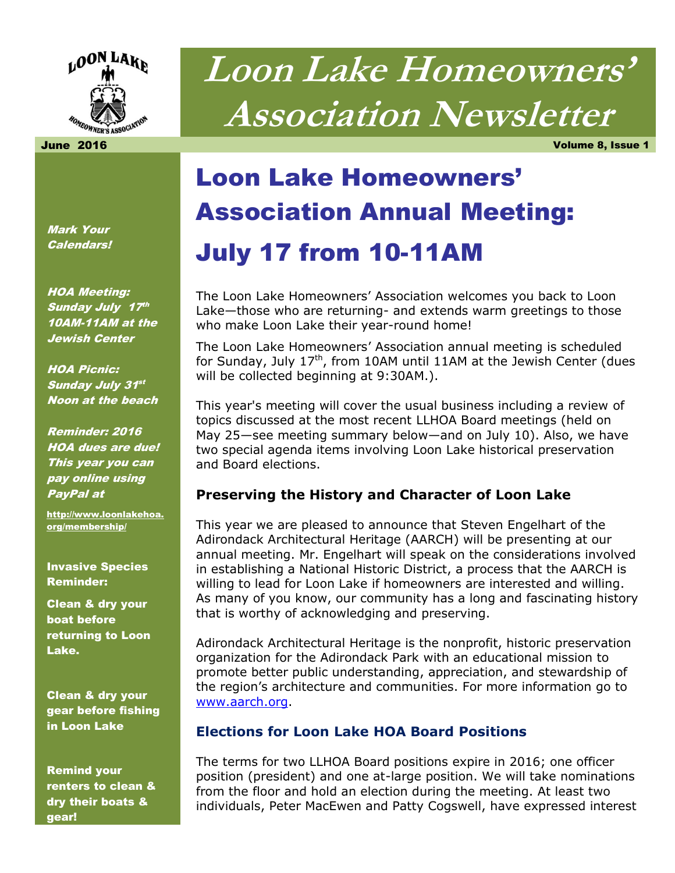

# **Loon Lake Homeowners' Association Newsletter**

June 2016 Volume 8, Issue 1

# Loon Lake Homeowners' Association Annual Meeting: July 17 from 10-11AM

The Loon Lake Homeowners' Association welcomes you back to Loon Lake—those who are returning- and extends warm greetings to those who make Loon Lake their year-round home!

The Loon Lake Homeowners' Association annual meeting is scheduled for Sunday, July  $17<sup>th</sup>$ , from 10AM until 11AM at the Jewish Center (dues will be collected beginning at 9:30AM.).

This year's meeting will cover the usual business including a review of topics discussed at the most recent LLHOA Board meetings (held on May 25—see meeting summary below—and on July 10). Also, we have two special agenda items involving Loon Lake historical preservation and Board elections.

#### **Preserving the History and Character of Loon Lake**

This year we are pleased to announce that Steven Engelhart of the Adirondack Architectural Heritage (AARCH) will be presenting at our annual meeting. Mr. Engelhart will speak on the considerations involved in establishing a National Historic District, a process that the AARCH is willing to lead for Loon Lake if homeowners are interested and willing. As many of you know, our community has a long and fascinating history that is worthy of acknowledging and preserving.

Adirondack Architectural Heritage is the nonprofit, historic preservation organization for the Adirondack Park with an educational mission to promote better public understanding, appreciation, and stewardship of the region's architecture and communities. For more information go to [www.aarch.org.](http://www.aarch.org/)

#### **Elections for Loon Lake HOA Board Positions**

The terms for two LLHOA Board positions expire in 2016; one officer position (president) and one at-large position. We will take nominations from the floor and hold an election during the meeting. At least two individuals, Peter MacEwen and Patty Cogswell, have expressed interest

Mark Your Calendars!

HOA Meeting: Sunday July 17th 10AM-11AM at the Jewish Center

HOA Picnic: Sunday July 31st Noon at the beach

Reminder: 2016 HOA dues are due! This year you can pay online using PayPal at

[http://www.loonlakehoa.](http://www.loonlakehoa.org/membership/) [org/membership/](http://www.loonlakehoa.org/membership/)

Invasive Species Reminder:

Clean & dry your boat before returning to Loon Lake.

Clean & dry your gear before fishing in Loon Lake

Remind your renters to clean & dry their boats & gear!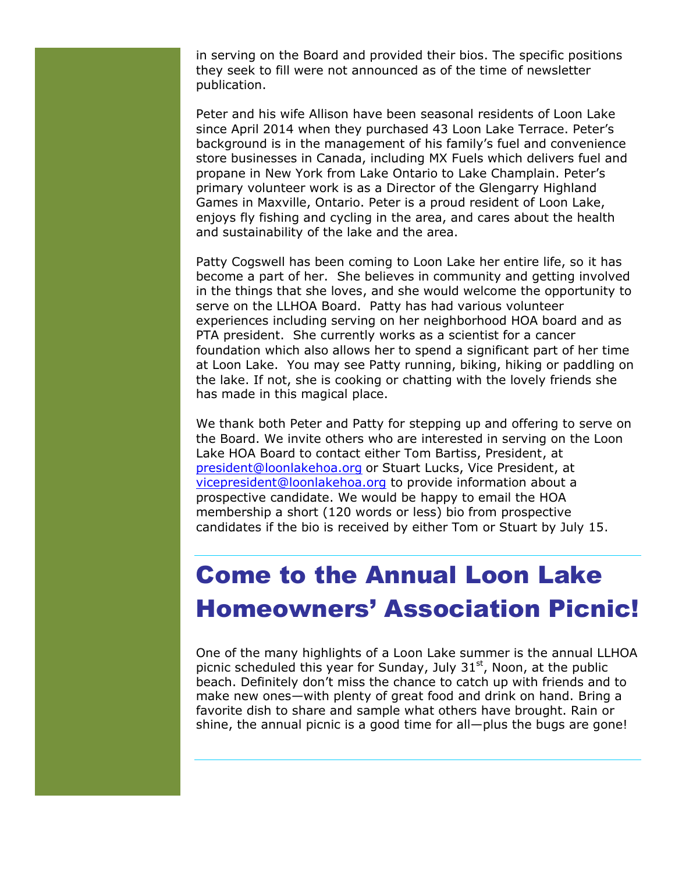in serving on the Board and provided their bios. The specific positions they seek to fill were not announced as of the time of newsletter publication.

Peter and his wife Allison have been seasonal residents of Loon Lake since April 2014 when they purchased 43 Loon Lake Terrace. Peter's background is in the management of his family's fuel and convenience store businesses in Canada, including MX Fuels which delivers fuel and propane in New York from Lake Ontario to Lake Champlain. Peter's primary volunteer work is as a Director of the Glengarry Highland Games in Maxville, Ontario. Peter is a proud resident of Loon Lake, enjoys fly fishing and cycling in the area, and cares about the health and sustainability of the lake and the area.

Patty Cogswell has been coming to Loon Lake her entire life, so it has become a part of her. She believes in community and getting involved in the things that she loves, and she would welcome the opportunity to serve on the LLHOA Board. Patty has had various volunteer experiences including serving on her neighborhood HOA board and as PTA president. She currently works as a scientist for a cancer foundation which also allows her to spend a significant part of her time at Loon Lake. You may see Patty running, biking, hiking or paddling on the lake. If not, she is cooking or chatting with the lovely friends she has made in this magical place.

We thank both Peter and Patty for stepping up and offering to serve on the Board. We invite others who are interested in serving on the Loon Lake HOA Board to contact either Tom Bartiss, President, at [president@loonlakehoa.org](mailto:president@loonlakehoa.org) or Stuart Lucks, Vice President, at [vicepresident@loonlakehoa.org](mailto:vicepresident@loonlakehoa.org) to provide information about a prospective candidate. We would be happy to email the HOA membership a short (120 words or less) bio from prospective candidates if the bio is received by either Tom or Stuart by July 15.

### Come to the Annual Loon Lake Homeowners' Association Picnic!

One of the many highlights of a Loon Lake summer is the annual LLHOA picnic scheduled this year for Sunday, July  $31<sup>st</sup>$ , Noon, at the public beach. Definitely don't miss the chance to catch up with friends and to make new ones—with plenty of great food and drink on hand. Bring a favorite dish to share and sample what others have brought. Rain or shine, the annual picnic is a good time for all—plus the bugs are gone!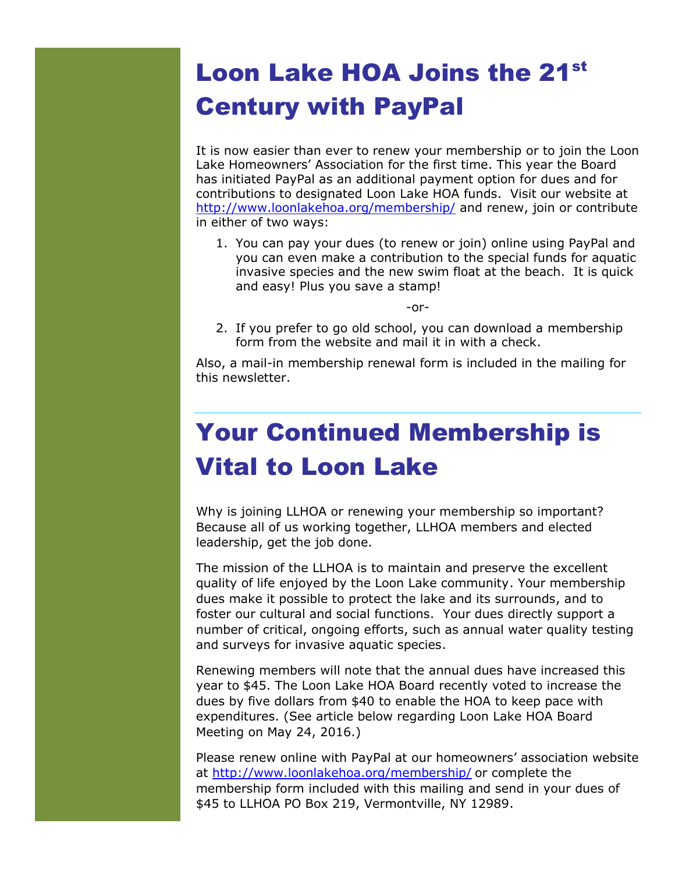### Loon Lake HOA Joins the 21st Century with PayPal

It is now easier than ever to renew your membership or to join the Loon Lake Homeowners' Association for the first time. This year the Board has initiated PayPal as an additional payment option for dues and for contributions to designated Loon Lake HOA funds. Visit our website at <http://www.loonlakehoa.org/membership/> and renew, join or contribute in either of two ways:

1. You can pay your dues (to renew or join) online using PayPal and you can even make a contribution to the special funds for aquatic invasive species and the new swim float at the beach. It is quick and easy! Plus you save a stamp!

-or-

2. If you prefer to go old school, you can download a membership form from the website and mail it in with a check.

Also, a mail-in membership renewal form is included in the mailing for this newsletter.

## Your Continued Membership is Vital to Loon Lake

Why is joining LLHOA or renewing your membership so important? Because all of us working together, LLHOA members and elected leadership, get the job done.

The mission of the LLHOA is to maintain and preserve the excellent quality of life enjoyed by the Loon Lake community. Your membership dues make it possible to protect the lake and its surrounds, and to foster our cultural and social functions. Your dues directly support a number of critical, ongoing efforts, such as annual water quality testing and surveys for invasive aquatic species.

Renewing members will note that the annual dues have increased this year to \$45. The Loon Lake HOA Board recently voted to increase the dues by five dollars from \$40 to enable the HOA to keep pace with expenditures. (See article below regarding Loon Lake HOA Board Meeting on May 24, 2016.)

Please renew online with PayPal at our homeowners' association website at<http://www.loonlakehoa.org/membership/> or complete the membership form included with this mailing and send in your dues of \$45 to LLHOA PO Box 219, Vermontville, NY 12989.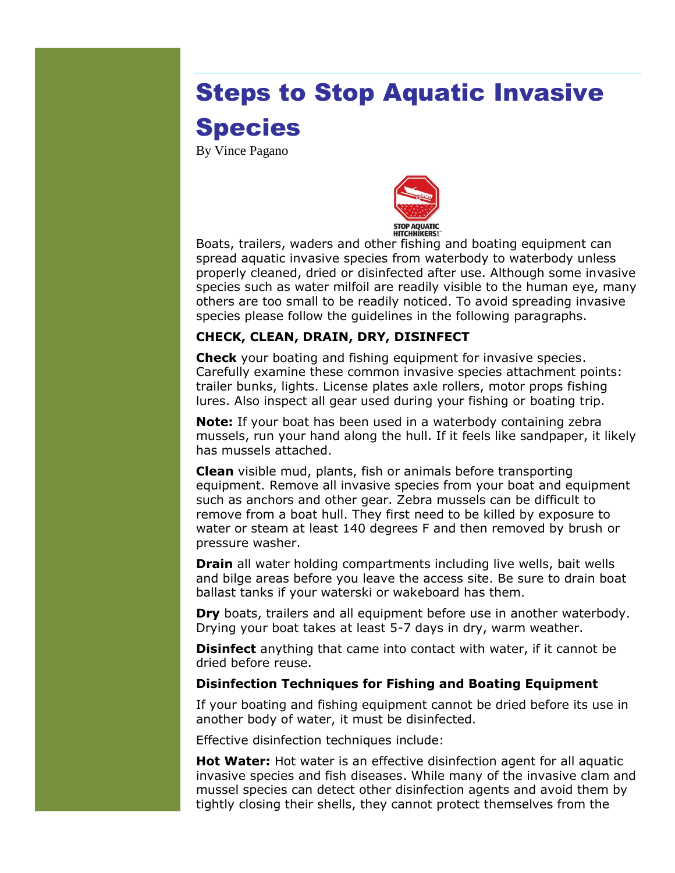# Steps to Stop Aquatic Invasive Species

By Vince Pagano



Boats, trailers, waders and other fishing and boating equipment can spread [aquatic invasive species](http://www.dec.ny.gov/animals/50121.html) from waterbody to waterbody unless properly cleaned, dried or disinfected after use. Although some invasive species such as water milfoil are readily visible to the human eye, many others are too small to be readily noticed. To avoid spreading invasive species please follow the guidelines in the following paragraphs.

#### **CHECK, CLEAN, DRAIN, DRY, DISINFECT**

**Check** your boating and fishing equipment for invasive species. Carefully examine these common invasive species attachment points: trailer bunks, lights. License plates axle rollers, motor props fishing lures. Also inspect all gear used during your fishing or boating trip.

**Note:** If your boat has been used in a waterbody containing zebra mussels, run your hand along the hull. If it feels like sandpaper, it likely has mussels attached.

**Clean** visible mud, plants, fish or animals before transporting equipment. Remove all invasive species from your boat and equipment such as anchors and other gear. Zebra mussels can be difficult to remove from a boat hull. They first need to be killed by exposure to water or steam at least 140 degrees F and then removed by brush or pressure washer.

**Drain** all water holding compartments including live wells, bait wells and bilge areas before you leave the access site. Be sure to drain boat ballast tanks if your waterski or wakeboard has them.

**Dry** boats, trailers and all equipment before use in another waterbody. Drying your boat takes at least 5-7 days in dry, warm weather.

**Disinfect** anything that came into contact with water, if it cannot be dried before reuse.

#### **Disinfection Techniques for Fishing and Boating Equipment**

If your boating and fishing equipment cannot be dried before its use in another body of water, it must be disinfected.

Effective disinfection techniques include:

**Hot Water:** Hot water is an effective disinfection agent for all aquatic invasive species and fish diseases. While many of the invasive clam and mussel species can detect other disinfection agents and avoid them by tightly closing their shells, they cannot protect themselves from the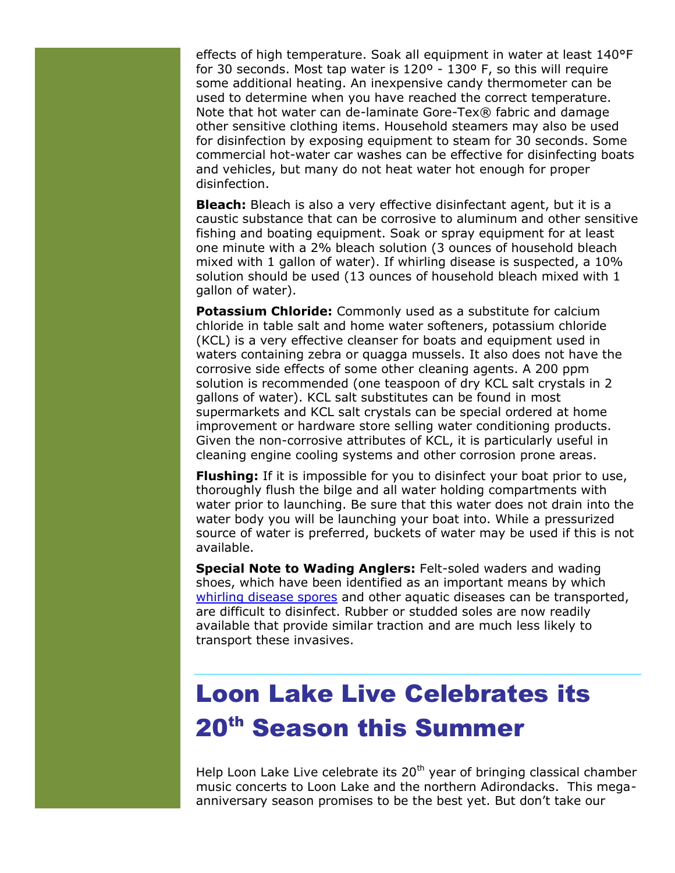effects of high temperature. Soak all equipment in water at least 140°F for 30 seconds. Most tap water is 120º - 130º F, so this will require some additional heating. An inexpensive candy thermometer can be used to determine when you have reached the correct temperature. Note that hot water can de-laminate Gore-Tex® fabric and damage other sensitive clothing items. Household steamers may also be used for disinfection by exposing equipment to steam for 30 seconds. Some commercial hot-water car washes can be effective for disinfecting boats and vehicles, but many do not heat water hot enough for proper disinfection.

**Bleach:** Bleach is also a very effective disinfectant agent, but it is a caustic substance that can be corrosive to aluminum and other sensitive fishing and boating equipment. Soak or spray equipment for at least one minute with a 2% bleach solution (3 ounces of household bleach mixed with 1 gallon of water). If whirling disease is suspected, a 10% solution should be used (13 ounces of household bleach mixed with 1 gallon of water).

**Potassium Chloride:** Commonly used as a substitute for calcium chloride in table salt and home water softeners, potassium chloride (KCL) is a very effective cleanser for boats and equipment used in waters containing zebra or quagga mussels. It also does not have the corrosive side effects of some other cleaning agents. A 200 ppm solution is recommended (one teaspoon of dry KCL salt crystals in 2 gallons of water). KCL salt substitutes can be found in most supermarkets and KCL salt crystals can be special ordered at home improvement or hardware store selling water conditioning products. Given the non-corrosive attributes of KCL, it is particularly useful in cleaning engine cooling systems and other corrosion prone areas.

**Flushing:** If it is impossible for you to disinfect your boat prior to use, thoroughly flush the bilge and all water holding compartments with water prior to launching. Be sure that this water does not drain into the water body you will be launching your boat into. While a pressurized source of water is preferred, buckets of water may be used if this is not available.

**Special Note to Wading Anglers:** Felt-soled waders and wading shoes, which have been identified as an important means by which [whirling disease spores](http://www.protectyourwaters.net/hitchhikers/others_whirling_disease.php) and other aquatic diseases can be transported, are difficult to disinfect. Rubber or studded soles are now readily available that provide similar traction and are much less likely to transport these invasives.

### Loon Lake Live Celebrates its 20th Season this Summer

Help Loon Lake Live celebrate its  $20<sup>th</sup>$  year of bringing classical chamber music concerts to Loon Lake and the northern Adirondacks. This megaanniversary season promises to be the best yet. But don't take our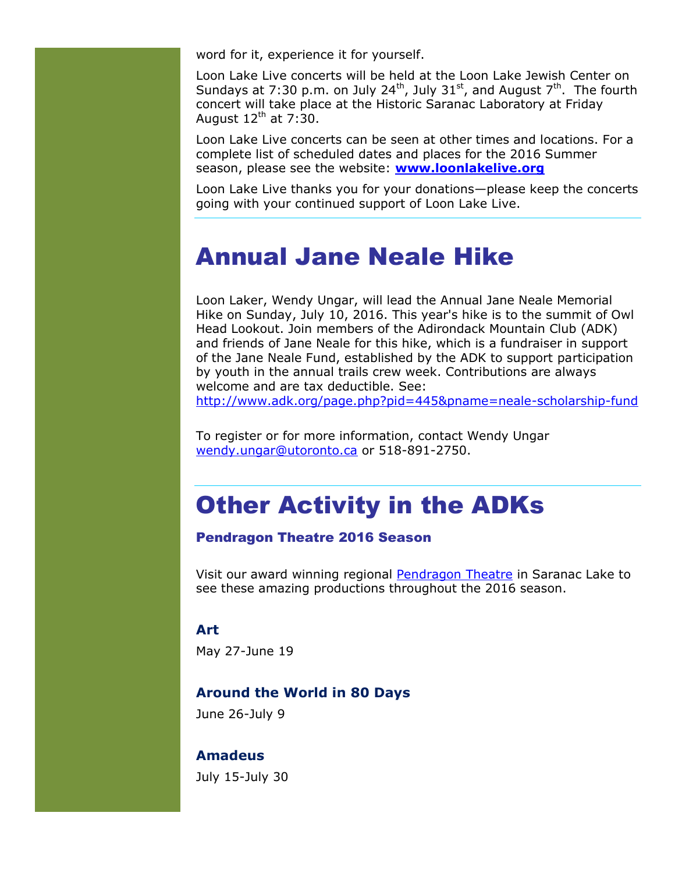word for it, experience it for yourself.

Loon Lake Live concerts will be held at the Loon Lake Jewish Center on Sundays at 7:30 p.m. on July 24<sup>th</sup>, July 31<sup>st</sup>, and August  $7<sup>th</sup>$ . The fourth concert will take place at the Historic Saranac Laboratory at Friday August  $12^{th}$  at 7:30.

Loon Lake Live concerts can be seen at other times and locations. For a complete list of scheduled dates and places for the 2016 Summer season, please see the website: **[www.loonlakelive.org](http://www.loonlakelive.org/)**

Loon Lake Live thanks you for your donations—please keep the concerts going with your continued support of Loon Lake Live.

### Annual Jane Neale Hike

Loon Laker, Wendy Ungar, will lead the Annual Jane Neale Memorial Hike on Sunday, July 10, 2016. This year's hike is to the summit of Owl Head Lookout. Join members of the Adirondack Mountain Club (ADK) and friends of Jane Neale for this hike, which is a fundraiser in support of the Jane Neale Fund, established by the ADK to support participation by youth in the annual trails crew week. Contributions are always welcome and are tax deductible. See:

<http://www.adk.org/page.php?pid=445&pname=neale-scholarship-fund>

To register or for more information, contact Wendy Ungar [wendy.ungar@utoronto.ca](mailto:wendy.ungar@utoronto.ca) or 518-891-2750.

### Other Activity in the ADKs

#### Pendragon Theatre 2016 Season

Visit our award winning regional [Pendragon Theatre](http://www.pendragontheatre.org/plays-events/calendar2/) in Saranac Lake to see these amazing productions throughout the 2016 season.

#### **Art**

May 27-June 19

#### **Around the World in 80 Days**

June 26-July 9

#### **Amadeus**

July 15-July 30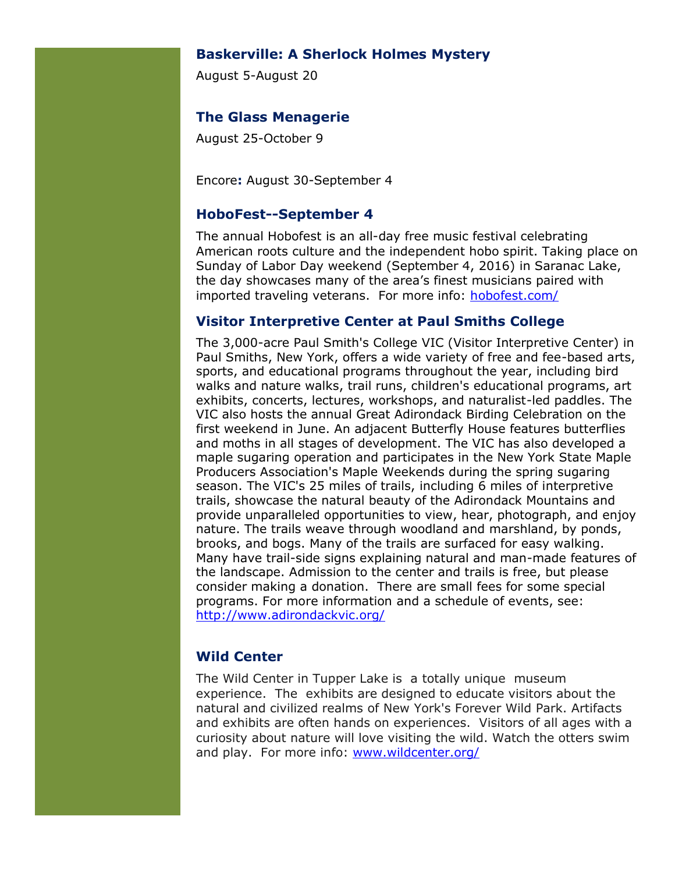#### **Baskerville: A Sherlock Holmes Mystery**

August 5-August 20

#### **The Glass Menagerie**

August 25-October 9

Encore**:** August 30-September 4

#### **HoboFest--September 4**

The annual Hobofest is an all-day free music festival celebrating American roots culture and the independent hobo spirit. Taking place on Sunday of Labor Day weekend (September 4, 2016) in Saranac Lake, the day showcases many of the area's finest musicians paired with imported traveling veterans. For more info: [hobofest.com/](http://hobofest.com/)

#### **Visitor Interpretive Center at Paul Smiths College**

The 3,000-acre Paul Smith's College VIC (Visitor Interpretive Center) in Paul Smiths, New York, offers a wide variety of free and fee-based arts, sports, and educational programs throughout the year, including bird walks and nature walks, trail runs, children's educational programs, art exhibits, concerts, lectures, workshops, and naturalist-led paddles. The VIC also hosts the annual Great Adirondack Birding Celebration on the first weekend in June. An adjacent Butterfly House features butterflies and moths in all stages of development. The VIC has also developed a maple sugaring operation and participates in the New York State Maple Producers Association's Maple Weekends during the spring sugaring season. The VIC's 25 miles of trails, including 6 miles of interpretive trails, showcase the natural beauty of the Adirondack Mountains and provide unparalleled opportunities to view, hear, photograph, and enjoy nature. The trails weave through woodland and marshland, by ponds, brooks, and bogs. Many of the trails are surfaced for easy walking. Many have trail-side signs explaining natural and man-made features of the landscape. Admission to the center and trails is free, but please consider making a donation. There are small fees for some special programs. For more information and a schedule of events, see: <http://www.adirondackvic.org/>

#### **Wild Center**

The Wild Center in Tupper Lake is a totally unique museum experience. The exhibits are designed to educate visitors about the natural and civilized realms of New York's Forever Wild Park. Artifacts and exhibits are often hands on experiences. Visitors of all ages with a curiosity about nature will love visiting the wild. Watch the otters swim and play. For more info: [www.wildcenter.org/](http://www.wildcenter.org/)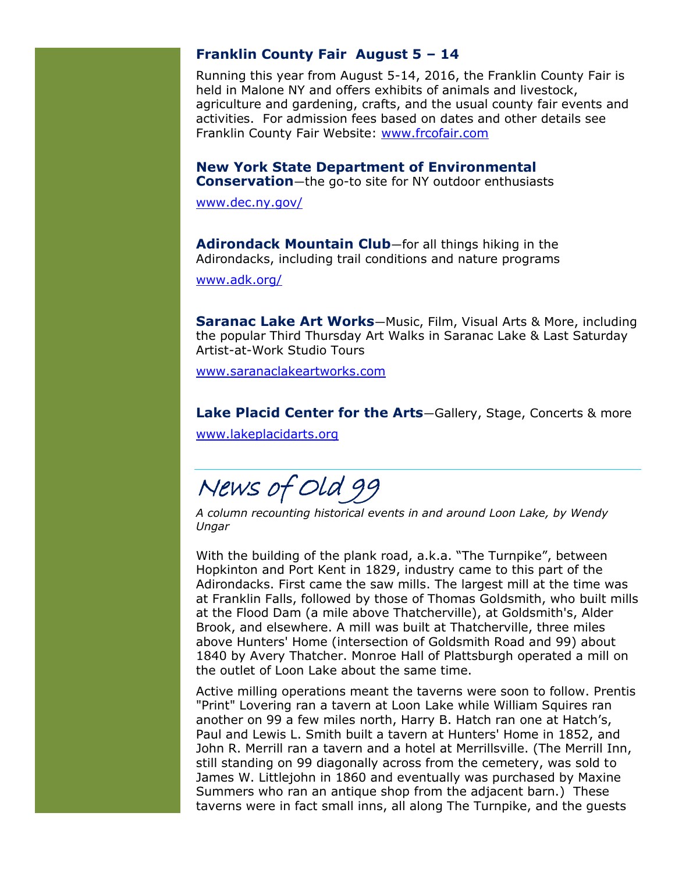#### **Franklin County Fair August 5 – 14**

Running this year from August 5-14, 2016, the Franklin County Fair is held in Malone NY and offers exhibits of animals and livestock, agriculture and gardening, crafts, and the usual county fair events and activities. For admission fees based on dates and other details see Franklin County Fair Website: [www.frcofair.com](http://www.frcofair.com/)

**New York State Department of Environmental Conservation**—the go-to site for NY outdoor enthusiasts

[www.dec.ny.gov/](http://www.dec.ny.gov/)

**Adirondack Mountain Club**—for all things hiking in the Adirondacks, including trail conditions and nature programs

[www.adk.org/](http://www.adk.org/)

**Saranac Lake Art Works**—Music, Film, Visual Arts & More, including the popular Third Thursday Art Walks in Saranac Lake & Last Saturday Artist-at-Work Studio Tours

[www.saranaclakeartworks.com](http://www.saranaclakeartworks.com/)

**Lake Placid Center for the Arts**—Gallery, Stage, Concerts & more [www.lakeplacidarts.org](http://www.lakeplacidarts.org/)

News of Old 99

*A column recounting historical events in and around Loon Lake, by Wendy Ungar*

With the building of the plank road, a.k.a. "The Turnpike", between Hopkinton and Port Kent in 1829, industry came to this part of the Adirondacks. First came the saw mills. The largest mill at the time was at Franklin Falls, followed by those of Thomas Goldsmith, who built mills at the Flood Dam (a mile above Thatcherville), at Goldsmith's, Alder Brook, and elsewhere. A mill was built at Thatcherville, three miles above Hunters' Home (intersection of Goldsmith Road and 99) about 1840 by Avery Thatcher. Monroe Hall of Plattsburgh operated a mill on the outlet of Loon Lake about the same time.

Active milling operations meant the taverns were soon to follow. Prentis "Print" Lovering ran a tavern at Loon Lake while William Squires ran another on 99 a few miles north, Harry B. Hatch ran one at Hatch's, Paul and Lewis L. Smith built a tavern at Hunters' Home in 1852, and John R. Merrill ran a tavern and a hotel at Merrillsville. (The Merrill Inn, still standing on 99 diagonally across from the cemetery, was sold to James W. Littlejohn in 1860 and eventually was purchased by Maxine Summers who ran an antique shop from the adjacent barn.) These taverns were in fact small inns, all along The Turnpike, and the guests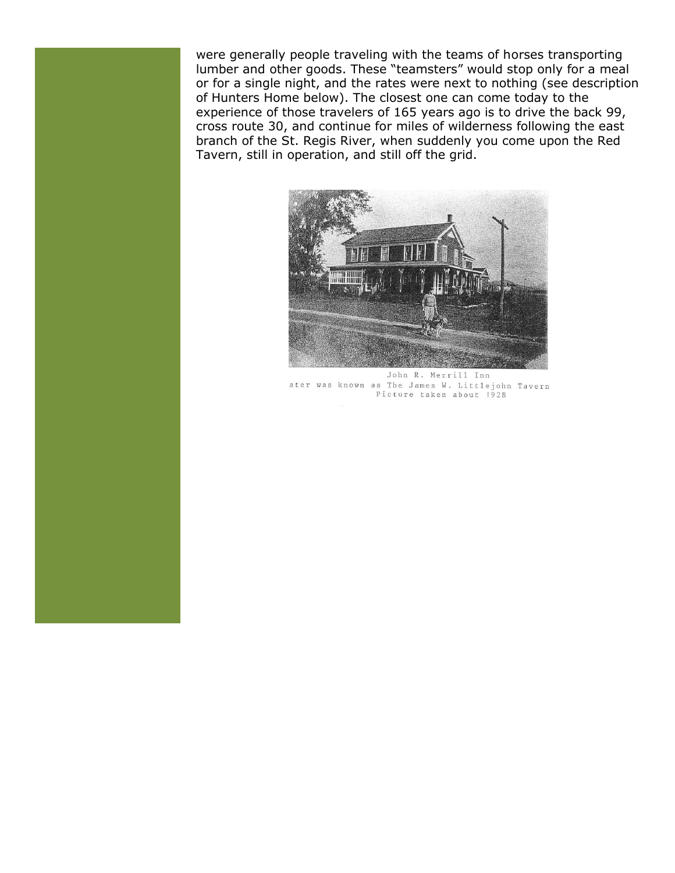were generally people traveling with the teams of horses transporting lumber and other goods. These "teamsters" would stop only for a meal or for a single night, and the rates were next to nothing (see description of Hunters Home below). The closest one can come today to the experience of those travelers of 165 years ago is to drive the back 99, cross route 30, and continue for miles of wilderness following the east branch of the St. Regis River, when suddenly you come upon the Red Tavern, still in operation, and still off the grid.



John R. Merrill Inn ater was known as The James W. Littlejohn Tavern Picture taken about 1928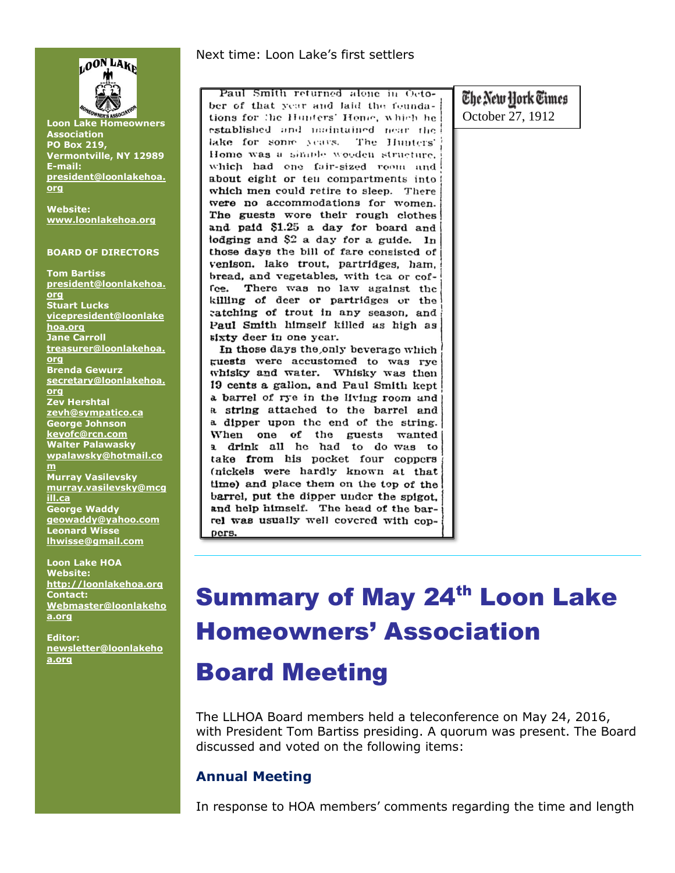

**Loon Lake Homeowners Association PO Box 219, Vermontville, NY 12989 E-mail: [president@loonlakehoa.](mailto:president@loonlakehoa.org) [org](mailto:president@loonlakehoa.org)**

**Website: [www.loonlakehoa.org](http://www.loonlakehoa.org/)**

#### **BOARD OF DIRECTORS**

**Tom Bartiss [president@loonlakehoa.](mailto:president@loonlakehoa.org) [org](mailto:president@loonlakehoa.org) Stuart Lucks [vicepresident@loonlake](mailto:vicepresident@loonlakehoa.org) [hoa.org](mailto:vicepresident@loonlakehoa.org) Jane Carroll [treasurer@loonlakehoa.](mailto:treasurer@loonlakehoa.org) [org](mailto:treasurer@loonlakehoa.org) Brenda Gewurz [secretary@loonlakehoa.](mailto:secretary@loonlakehoa.org) [org](mailto:secretary@loonlakehoa.org) Zev Hershtal [zevh@sympatico.ca](mailto:zevh@sympatico.ca) George Johnson [keyofc@rcn.com](mailto:keyofc@rcn.com) Walter Palawasky [wpalawsky@hotmail.co](mailto:wpalawsky@hotmail.com) [m](mailto:wpalawsky@hotmail.com) Murray Vasilevsky [murray.vasilevsky@mcg](mailto:murray.vasilevsky@mcgill.ca) [ill.ca](mailto:murray.vasilevsky@mcgill.ca) George Waddy** 

**[geowaddy@yahoo.com](mailto:geowaddy@yahoo.com) Leonard Wisse [lhwisse@gmail.com](mailto:lhwisse@gmail.com)**

**Loon Lake HOA Website: [http://loonlakehoa.org](http://loonlakehoa.org/) Contact: Webmaster@loonlakeho a.org**

**Editor: [newsletter@loonlakeho](mailto:newsletter@loonlakehoa.org) [a.org](mailto:newsletter@loonlakehoa.org)**

#### Next time: Loon Lake's first settlers

Paul Smith returned alone in October of that year and laid the feundations for the Hunters' Home, which he established and maintained near the lake for song years. The Hunters' Home was a simple wooden structure. which had one fair-sized room and about eight or ten compartments into which men could retire to sleep. There were no accommodations for women. The guests wore their rough clothes and paid \$1.25 a day for board and lodging and \$2 a day for a guide. In those days the bill of fare consisted of venison. lake trout, partridges, ham, bread, and vegetables, with tea or cofrce. There was no law against the killing of deer or partridges or the catching of trout in any season, and Paul Smith himself killed as high as sixty deer in one year.

In those days the only beverage which guests were accustomed to was rye whisky and water. Whisky was then 19 cents a gallon, and Paul Smith kept a barrel of rye in the living room and a string attached to the barrel and a dipper upon the end of the string. When one of the guests wanted a drink all he had to do was to take from his pocket four coppers (nickels were hardly known at that time) and place them on the top of the barrel, put the dipper under the spigot, and help himself. The head of the barrel was usually well covered with coppers.

The New York Times October 27, 1912

# **Summary of May 24th Loon Lake** Homeowners' Association

### Board Meeting

The LLHOA Board members held a teleconference on May 24, 2016, with President Tom Bartiss presiding. A quorum was present. The Board discussed and voted on the following items:

#### **Annual Meeting**

In response to HOA members' comments regarding the time and length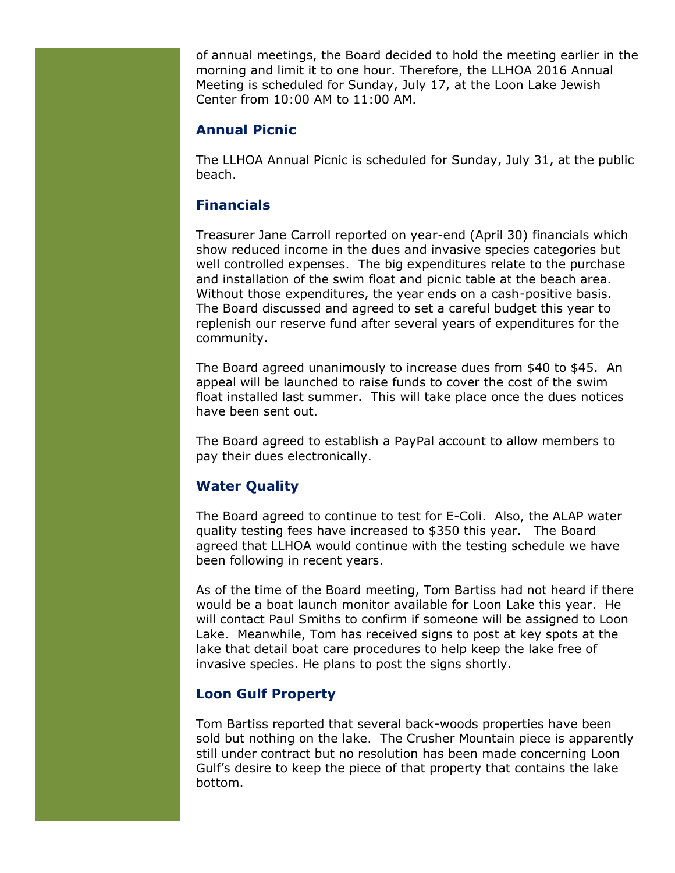of annual meetings, the Board decided to hold the meeting earlier in the morning and limit it to one hour. Therefore, the LLHOA 2016 Annual Meeting is scheduled for Sunday, July 17, at the Loon Lake Jewish Center from 10:00 AM to 11:00 AM.

#### **Annual Picnic**

The LLHOA Annual Picnic is scheduled for Sunday, July 31, at the public beach.

#### **Financials**

Treasurer Jane Carroll reported on year-end (April 30) financials which show reduced income in the dues and invasive species categories but well controlled expenses. The big expenditures relate to the purchase and installation of the swim float and picnic table at the beach area. Without those expenditures, the year ends on a cash-positive basis. The Board discussed and agreed to set a careful budget this year to replenish our reserve fund after several years of expenditures for the community.

The Board agreed unanimously to increase dues from \$40 to \$45. An appeal will be launched to raise funds to cover the cost of the swim float installed last summer. This will take place once the dues notices have been sent out.

The Board agreed to establish a PayPal account to allow members to pay their dues electronically.

#### **Water Quality**

The Board agreed to continue to test for E-Coli. Also, the ALAP water quality testing fees have increased to \$350 this year. The Board agreed that LLHOA would continue with the testing schedule we have been following in recent years.

As of the time of the Board meeting, Tom Bartiss had not heard if there would be a boat launch monitor available for Loon Lake this year. He will contact Paul Smiths to confirm if someone will be assigned to Loon Lake. Meanwhile, Tom has received signs to post at key spots at the lake that detail boat care procedures to help keep the lake free of invasive species. He plans to post the signs shortly.

#### **Loon Gulf Property**

Tom Bartiss reported that several back-woods properties have been sold but nothing on the lake. The Crusher Mountain piece is apparently still under contract but no resolution has been made concerning Loon Gulf's desire to keep the piece of that property that contains the lake bottom.